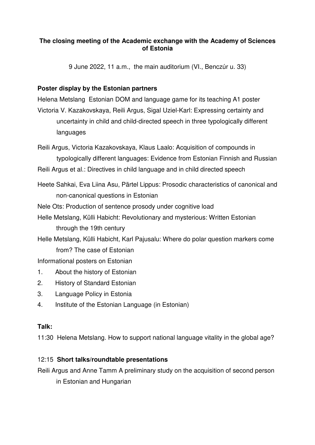## **The closing meeting of the Academic exchange with the Academy of Sciences of Estonia**

9 June 2022, 11 a.m., the main auditorium (VI., Benczúr u. 33)

## **Poster display by the Estonian partners**

Helena Metslang Estonian DOM and language game for its teaching A1 poster Victoria V. Kazakovskaya, Reili Argus, Sigal Uziel-Karl: Expressing certainty and uncertainty in child and child-directed speech in three typologically different languages

Reili Argus, Victoria Kazakovskaya, Klaus Laalo: Acquisition of compounds in typologically different languages: Evidence from Estonian Finnish and Russian

Reili Argus et al.: Directives in child language and in child directed speech

Heete Sahkai, Eva Liina Asu, Pärtel Lippus: Prosodic characteristics of canonical and non-canonical questions in Estonian

Nele Ots: Production of sentence prosody under cognitive load

Helle Metslang, Külli Habicht: Revolutionary and mysterious: Written Estonian through the 19th century

Helle Metslang, Külli Habicht, Karl Pajusalu: Where do polar question markers come from? The case of Estonian

Informational posters on Estonian

- 1. About the history of Estonian
- 2. History of Standard Estonian
- 3. Language Policy in Estonia
- 4. Institute of the Estonian Language (in Estonian)

## **Talk:**

11:30 Helena Metslang. How to support national language vitality in the global age?

## 12:15 **Short talks/roundtable presentations**

Reili Argus and Anne Tamm A preliminary study on the acquisition of second person in Estonian and Hungarian